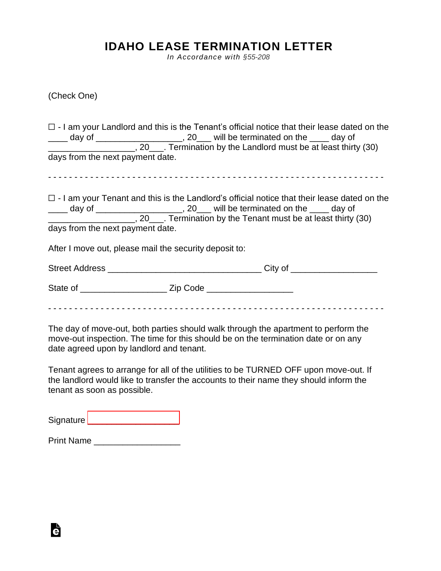## **IDAHO LEASE TERMINATION LETTER**

*In Accordance with §55-208*

(Check One)

|                                  |                                                        | $\Box$ - I am your Landlord and this is the Tenant's official notice that their lease dated on the                                                                                                                                                                             |
|----------------------------------|--------------------------------------------------------|--------------------------------------------------------------------------------------------------------------------------------------------------------------------------------------------------------------------------------------------------------------------------------|
| days from the next payment date. |                                                        |                                                                                                                                                                                                                                                                                |
| days from the next payment date. |                                                        | $\Box$ - I am your Tenant and this is the Landlord's official notice that their lease dated on the<br>____ day of _____________________, 20___ will be terminated on the ____ day of<br>______________________, 20____. Termination by the Tenant must be at least thirty (30) |
|                                  | After I move out, please mail the security deposit to: |                                                                                                                                                                                                                                                                                |
|                                  |                                                        |                                                                                                                                                                                                                                                                                |
|                                  |                                                        |                                                                                                                                                                                                                                                                                |
|                                  |                                                        |                                                                                                                                                                                                                                                                                |

The day of move-out, both parties should walk through the apartment to perform the move-out inspection. The time for this should be on the termination date or on any date agreed upon by landlord and tenant.

Tenant agrees to arrange for all of the utilities to be TURNED OFF upon move-out. If the landlord would like to transfer the accounts to their name they should inform the tenant as soon as possible.

Signature [\\_\\_\\_\\_\\_\\_\\_\\_\\_\\_\\_\\_\\_\\_\\_\\_\\_\\_\\_](https://esign.com)

Print Name

Ġ